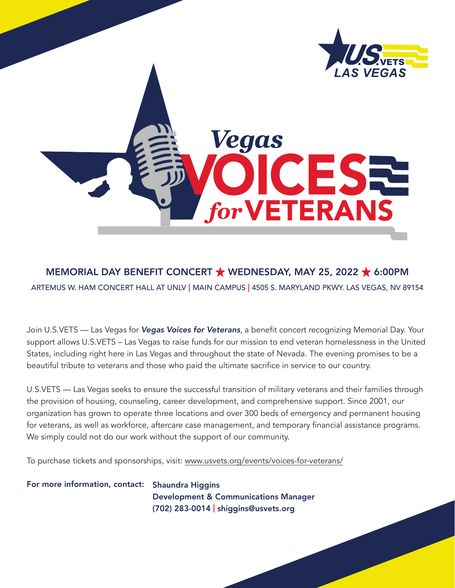

# Vegas ESI for VETERANS

# MEMORIAL DAY BENEFIT CONCERT  $\bigstar$  WEDNESDAY, MAY 25, 2022  $\bigstar$  6:00PM

ARTEMUS W. HAM CONCERT HALL AT UNLV | MAIN CAMPUS | 4505 S. MARYLAND PKWY. LAS VEGAS, NV 89154

Join U.S.VETS — Las Vegas for *Vegas Voices for Veterans*, a benefit concert recognizing Memorial Day. Your support allows U.S.VETS – Las Vegas to raise funds for our mission to end veteran homelessness in the United States, including right here in Las Vegas and throughout the state of Nevada. The evening promises to be a beautiful tribute to veterans and those who paid the ultimate sacrifice in service to our country.

U.S.VETS — Las Vegas seeks to ensure the successful transition of military veterans and their families through the provision of housing, counseling, career development, and comprehensive support. Since 2001, our organization has grown to operate three locations and over 300 beds of emergency and permanent housing for veterans, as well as workforce, aftercare case management, and temporary financial assistance programs. We simply could not do our work without the support of our community.

To purchase tickets and sponsorships, visit: [www.usvets.org/events/voices-for-veterans/](http://www.usvets.org/events/voices-for-veterans/)

For more information, contact: Shaundra Higgins Development & Communications Manager (702) 283-0014 | [shiggins@usvets.org](mailto:shiggins@usvets.org)